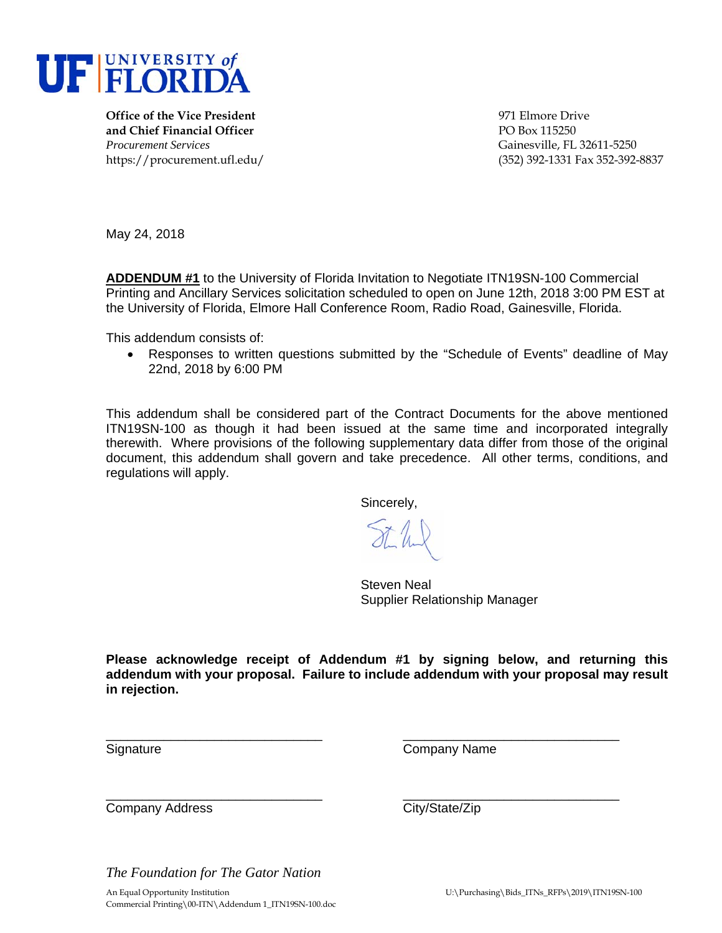

**Office of the Vice President** 971 Elmore Drive **and Chief Financial Officer Contract Contract PO Box 115250** *Procurement Services* Gainesville, FL 32611-5250

https://procurement.ufl.edu/ (352) 392-1331 Fax 352-392-8837

May 24, 2018

**ADDENDUM #1** to the University of Florida Invitation to Negotiate ITN19SN-100 Commercial Printing and Ancillary Services solicitation scheduled to open on June 12th, 2018 3:00 PM EST at the University of Florida, Elmore Hall Conference Room, Radio Road, Gainesville, Florida.

This addendum consists of:

 Responses to written questions submitted by the "Schedule of Events" deadline of May 22nd, 2018 by 6:00 PM

This addendum shall be considered part of the Contract Documents for the above mentioned ITN19SN-100 as though it had been issued at the same time and incorporated integrally therewith. Where provisions of the following supplementary data differ from those of the original document, this addendum shall govern and take precedence. All other terms, conditions, and regulations will apply.

Sincerely,

St.h.

 Steven Neal Supplier Relationship Manager

**Please acknowledge receipt of Addendum #1 by signing below, and returning this addendum with your proposal. Failure to include addendum with your proposal may result in rejection.**

\_\_\_\_\_\_\_\_\_\_\_\_\_\_\_\_\_\_\_\_\_\_\_\_\_\_\_\_\_\_ \_\_\_\_\_\_\_\_\_\_\_\_\_\_\_\_\_\_\_\_\_\_\_\_\_\_\_\_\_\_

\_\_\_\_\_\_\_\_\_\_\_\_\_\_\_\_\_\_\_\_\_\_\_\_\_\_\_\_\_\_ \_\_\_\_\_\_\_\_\_\_\_\_\_\_\_\_\_\_\_\_\_\_\_\_\_\_\_\_\_\_

Signature Company Name

Company Address Company Address City/State/Zip

*The Foundation for The Gator Nation*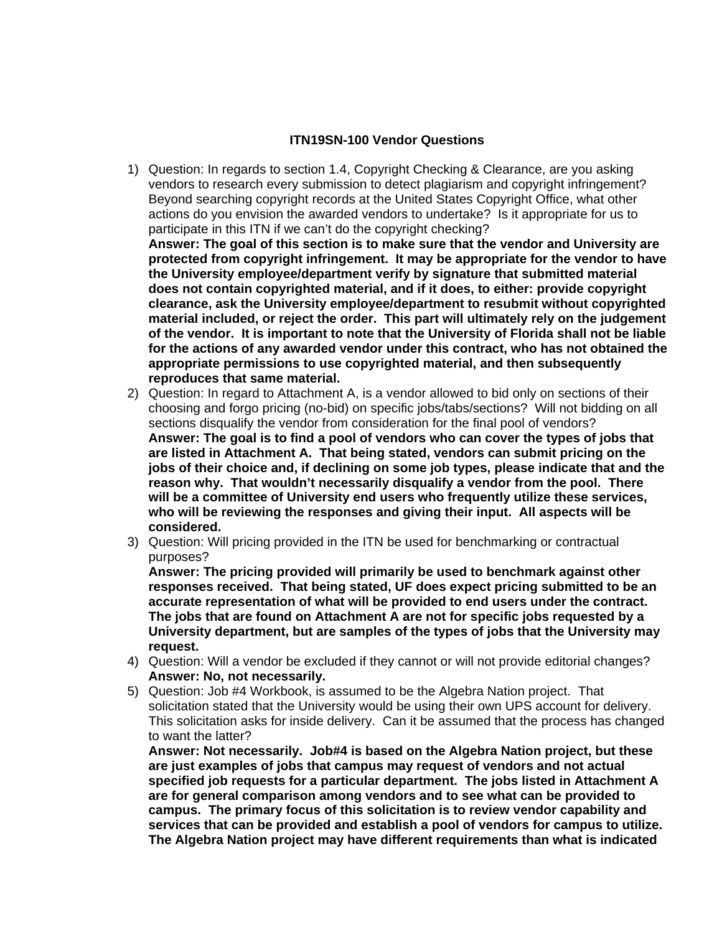## **ITN19SN-100 Vendor Questions**

1) Question: In regards to section 1.4, Copyright Checking & Clearance, are you asking vendors to research every submission to detect plagiarism and copyright infringement? Beyond searching copyright records at the United States Copyright Office, what other actions do you envision the awarded vendors to undertake? Is it appropriate for us to participate in this ITN if we can't do the copyright checking?

**Answer: The goal of this section is to make sure that the vendor and University are protected from copyright infringement. It may be appropriate for the vendor to have the University employee/department verify by signature that submitted material does not contain copyrighted material, and if it does, to either: provide copyright clearance, ask the University employee/department to resubmit without copyrighted material included, or reject the order. This part will ultimately rely on the judgement of the vendor. It is important to note that the University of Florida shall not be liable for the actions of any awarded vendor under this contract, who has not obtained the appropriate permissions to use copyrighted material, and then subsequently reproduces that same material.** 

- 2) Question: In regard to Attachment A, is a vendor allowed to bid only on sections of their choosing and forgo pricing (no-bid) on specific jobs/tabs/sections? Will not bidding on all sections disqualify the vendor from consideration for the final pool of vendors? **Answer: The goal is to find a pool of vendors who can cover the types of jobs that are listed in Attachment A. That being stated, vendors can submit pricing on the jobs of their choice and, if declining on some job types, please indicate that and the reason why. That wouldn't necessarily disqualify a vendor from the pool. There will be a committee of University end users who frequently utilize these services, who will be reviewing the responses and giving their input. All aspects will be considered.**
- 3) Question: Will pricing provided in the ITN be used for benchmarking or contractual purposes?

**Answer: The pricing provided will primarily be used to benchmark against other responses received. That being stated, UF does expect pricing submitted to be an accurate representation of what will be provided to end users under the contract. The jobs that are found on Attachment A are not for specific jobs requested by a University department, but are samples of the types of jobs that the University may request.** 

- 4) Question: Will a vendor be excluded if they cannot or will not provide editorial changes? **Answer: No, not necessarily.**
- 5) Question: Job #4 Workbook, is assumed to be the Algebra Nation project. That solicitation stated that the University would be using their own UPS account for delivery. This solicitation asks for inside delivery. Can it be assumed that the process has changed to want the latter?

**Answer: Not necessarily. Job#4 is based on the Algebra Nation project, but these are just examples of jobs that campus may request of vendors and not actual specified job requests for a particular department. The jobs listed in Attachment A are for general comparison among vendors and to see what can be provided to campus. The primary focus of this solicitation is to review vendor capability and services that can be provided and establish a pool of vendors for campus to utilize. The Algebra Nation project may have different requirements than what is indicated**